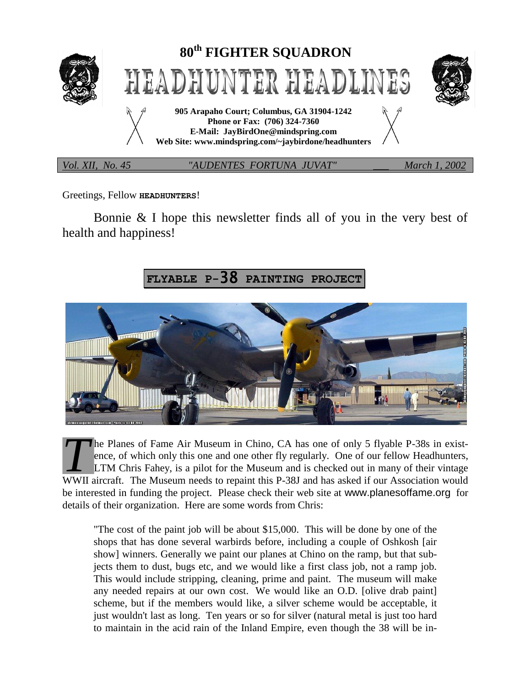

Greetings, Fellow **HEADHUNTERS**!

Bonnie & I hope this newsletter finds all of you in the very best of health and happiness!

# **FLYABLE P-**38 **PAINTING PROJECT**



he Planes of Fame Air Museum in Chino, CA has one of only 5 flyable P-38s in existence, of which only this one and one other fly regularly. One of our fellow Headhunters, LTM Chris Fahey, is a pilot for the Museum and is checked out in many of their vintage The Planes of Fame Air Museum in Chino, CA has one of only 5 flyable P-38s in existence, of which only this one and one other fly regularly. One of our fellow Headhunters, LTM Chris Fahey, is a pilot for the Museum and is be interested in funding the project. Please check their web site at www.planesoffame.org for details of their organization. Here are some words from Chris:

"The cost of the paint job will be about \$15,000. This will be done by one of the shops that has done several warbirds before, including a couple of Oshkosh [air show] winners. Generally we paint our planes at Chino on the ramp, but that subjects them to dust, bugs etc, and we would like a first class job, not a ramp job. This would include stripping, cleaning, prime and paint. The museum will make any needed repairs at our own cost. We would like an O.D. [olive drab paint] scheme, but if the members would like, a silver scheme would be acceptable, it just wouldn't last as long. Ten years or so for silver (natural metal is just too hard to maintain in the acid rain of the Inland Empire, even though the 38 will be in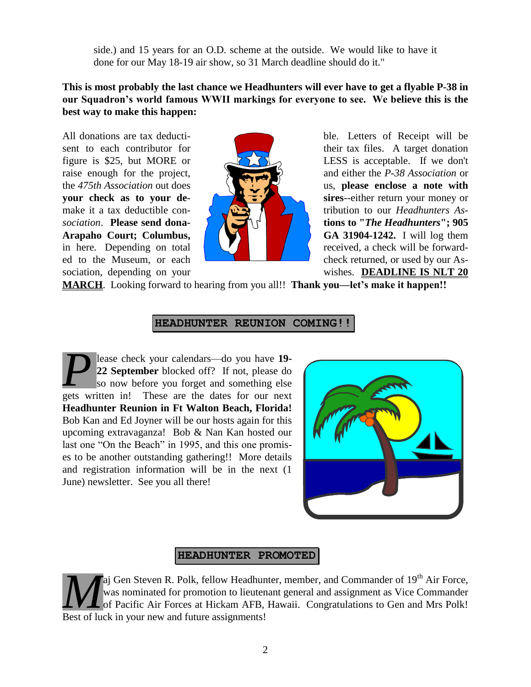side.) and 15 years for an O.D. scheme at the outside. We would like to have it done for our May 18-19 air show, so 31 March deadline should do it."

#### **This is most probably the last chance we Headhunters will ever have to get a flyable P-38 in our Squadron's world famous WWII markings for everyone to see. We believe this is the best way to make this happen:**



All donations are tax deducti-<br>
ble. Letters of Receipt will be sent to each contributor for their tax files. A target donation figure is \$25, but MORE or  $\sqrt{27}$  LESS is acceptable. If we don't raise enough for the project, and either the *P-38 Association* or the *475th Association* out does us, **please enclose a note with your check as to your de- since since since since since since since since since since since since since since since since since since since since since since since since s** make it a tax deductible con- **the set of the set of the set of the set of the set of the set of the set of the set of the set of the set of the set of the set of the set of the set of the set of the set of the set of the** *sociation*. **Please send dona- tions to "***The Headhunters***"; 905 Arapaho Court; Columbus, GA 31904-1242.** I will log them in here. Depending on total  $\blacksquare$ ed to the Museum, or each check returned, or used by our Association, depending on your wishes. **DEADLINE IS NLT 20** 

**MARCH**. Looking forward to hearing from you all!! **Thank you—let's make it happen!!**

#### **HEADHUNTER REUNION COMING!!**

lease check your calendars—do you have **19- 22 September** blocked off? If not, please do so now before you forget and something else **P** lease check your calendars—do you have 19-<br>22 September blocked off? If not, please do<br>so now before you forget and something else<br>gets written in! These are the dates for our next **Headhunter Reunion in Ft Walton Beach, Florida!** Bob Kan and Ed Joyner will be our hosts again for this upcoming extravaganza! Bob & Nan Kan hosted our last one "On the Beach" in 1995, and this one promises to be another outstanding gathering!! More details and registration information will be in the next (1 June) newsletter. See you all there!



## **HEADHUNTER PROMOTED**

aj Gen Steven R. Polk, fellow Headhunter, member, and Commander of  $19<sup>th</sup>$  Air Force, was nominated for promotion to lieutenant general and assignment as Vice Commander of Pacific Air Forces at Hickam AFB, Hawaii. Congratulations to Gen and Mrs Polk! **Ma** Gen Steven R. Polk, fellow Headhur was nominated for promotion to lieuter of Pacific Air Forces at Hickam AFB, Best of luck in your new and future assignments!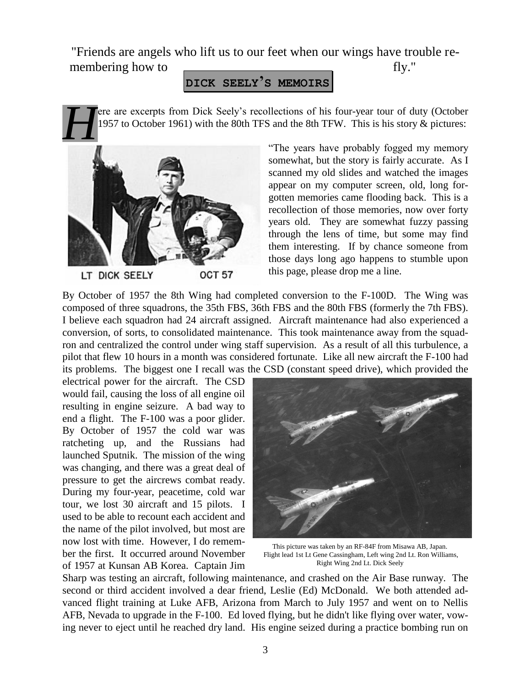"Friends are angels who lift us to our feet when our wings have trouble remembering how to <u>examelence</u> fly."

## **DICK SEELY'S MEMOIRS**

ere are excerpts from Dick Seely's recollections of his four-year tour of duty (October 1957 to October 1961) with the 80th TFS and the 8th TFW. This is his story & pictures:



"The years have probably fogged my memory somewhat, but the story is fairly accurate. As I scanned my old slides and watched the images appear on my computer screen, old, long forgotten memories came flooding back. This is a recollection of those memories, now over forty years old. They are somewhat fuzzy passing through the lens of time, but some may find them interesting. If by chance someone from those days long ago happens to stumble upon this page, please drop me a line.

By October of 1957 the 8th Wing had completed conversion to the F-100D. The Wing was composed of three squadrons, the 35th FBS, 36th FBS and the 80th FBS (formerly the 7th FBS). I believe each squadron had 24 aircraft assigned. Aircraft maintenance had also experienced a conversion, of sorts, to consolidated maintenance. This took maintenance away from the squadron and centralized the control under wing staff supervision. As a result of all this turbulence, a pilot that flew 10 hours in a month was considered fortunate. Like all new aircraft the F-100 had its problems. The biggest one I recall was the CSD (constant speed drive), which provided the

electrical power for the aircraft. The CSD would fail, causing the loss of all engine oil resulting in engine seizure. A bad way to end a flight. The F-100 was a poor glider. By October of 1957 the cold war was ratcheting up, and the Russians had launched Sputnik. The mission of the wing was changing, and there was a great deal of pressure to get the aircrews combat ready. During my four-year, peacetime, cold war tour, we lost 30 aircraft and 15 pilots. I used to be able to recount each accident and the name of the pilot involved, but most are now lost with time. However, I do remember the first. It occurred around November of 1957 at Kunsan AB Korea. Captain Jim



 This picture was taken by an RF-84F from Misawa AB, Japan. Flight lead 1st Lt Gene Cassingham, Left wing 2nd Lt. Ron Williams, Right Wing 2nd Lt. Dick Seely

Sharp was testing an aircraft, following maintenance, and crashed on the Air Base runway. The second or third accident involved a dear friend, Leslie (Ed) McDonald. We both attended advanced flight training at Luke AFB, Arizona from March to July 1957 and went on to Nellis AFB, Nevada to upgrade in the F-100. Ed loved flying, but he didn't like flying over water, vowing never to eject until he reached dry land. His engine seized during a practice bombing run on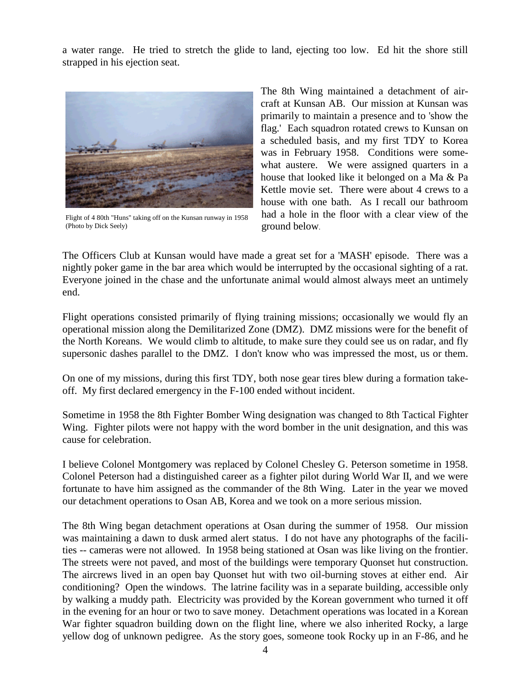a water range. He tried to stretch the glide to land, ejecting too low. Ed hit the shore still strapped in his ejection seat.



Flight of 4 80th "Huns" taking off on the Kunsan runway in 1958 (Photo by Dick Seely)

The 8th Wing maintained a detachment of aircraft at Kunsan AB. Our mission at Kunsan was primarily to maintain a presence and to 'show the flag.' Each squadron rotated crews to Kunsan on a scheduled basis, and my first TDY to Korea was in February 1958. Conditions were somewhat austere. We were assigned quarters in a house that looked like it belonged on a Ma & Pa Kettle movie set. There were about 4 crews to a house with one bath. As I recall our bathroom had a hole in the floor with a clear view of the ground below.

The Officers Club at Kunsan would have made a great set for a 'MASH' episode. There was a nightly poker game in the bar area which would be interrupted by the occasional sighting of a rat. Everyone joined in the chase and the unfortunate animal would almost always meet an untimely end.

Flight operations consisted primarily of flying training missions; occasionally we would fly an operational mission along the Demilitarized Zone (DMZ). DMZ missions were for the benefit of the North Koreans. We would climb to altitude, to make sure they could see us on radar, and fly supersonic dashes parallel to the DMZ. I don't know who was impressed the most, us or them.

On one of my missions, during this first TDY, both nose gear tires blew during a formation takeoff. My first declared emergency in the F-100 ended without incident.

Sometime in 1958 the 8th Fighter Bomber Wing designation was changed to 8th Tactical Fighter Wing. Fighter pilots were not happy with the word bomber in the unit designation, and this was cause for celebration.

I believe Colonel Montgomery was replaced by Colonel Chesley G. Peterson sometime in 1958. Colonel Peterson had a distinguished career as a fighter pilot during World War II, and we were fortunate to have him assigned as the commander of the 8th Wing. Later in the year we moved our detachment operations to Osan AB, Korea and we took on a more serious mission.

The 8th Wing began detachment operations at Osan during the summer of 1958. Our mission was maintaining a dawn to dusk armed alert status. I do not have any photographs of the facilities -- cameras were not allowed. In 1958 being stationed at Osan was like living on the frontier. The streets were not paved, and most of the buildings were temporary Quonset hut construction. The aircrews lived in an open bay Quonset hut with two oil-burning stoves at either end. Air conditioning? Open the windows. The latrine facility was in a separate building, accessible only by walking a muddy path. Electricity was provided by the Korean government who turned it off in the evening for an hour or two to save money. Detachment operations was located in a Korean War fighter squadron building down on the flight line, where we also inherited Rocky, a large yellow dog of unknown pedigree. As the story goes, someone took Rocky up in an F-86, and he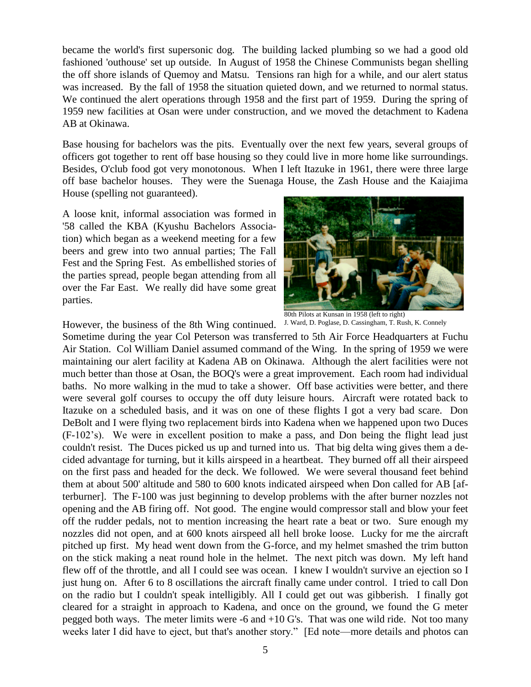became the world's first supersonic dog. The building lacked plumbing so we had a good old fashioned 'outhouse' set up outside. In August of 1958 the Chinese Communists began shelling the off shore islands of Quemoy and Matsu. Tensions ran high for a while, and our alert status was increased. By the fall of 1958 the situation quieted down, and we returned to normal status. We continued the alert operations through 1958 and the first part of 1959. During the spring of 1959 new facilities at Osan were under construction, and we moved the detachment to Kadena AB at Okinawa.

Base housing for bachelors was the pits. Eventually over the next few years, several groups of officers got together to rent off base housing so they could live in more home like surroundings. Besides, O'club food got very monotonous. When I left Itazuke in 1961, there were three large off base bachelor houses. They were the Suenaga House, the Zash House and the Kaiajima House (spelling not guaranteed).

A loose knit, informal association was formed in '58 called the KBA (Kyushu Bachelors Association) which began as a weekend meeting for a few beers and grew into two annual parties; The Fall Fest and the Spring Fest. As embellished stories of the parties spread, people began attending from all over the Far East. We really did have some great parties.



J. Ward, D. Poglase, D. Cassingham, T. Rush, K. Connely

However, the business of the 8th Wing continued.

Sometime during the year Col Peterson was transferred to 5th Air Force Headquarters at Fuchu Air Station. Col William Daniel assumed command of the Wing. In the spring of 1959 we were maintaining our alert facility at Kadena AB on Okinawa. Although the alert facilities were not much better than those at Osan, the BOQ's were a great improvement. Each room had individual baths. No more walking in the mud to take a shower. Off base activities were better, and there were several golf courses to occupy the off duty leisure hours. Aircraft were rotated back to Itazuke on a scheduled basis, and it was on one of these flights I got a very bad scare. Don DeBolt and I were flying two replacement birds into Kadena when we happened upon two Duces (F-102's). We were in excellent position to make a pass, and Don being the flight lead just couldn't resist. The Duces picked us up and turned into us. That big delta wing gives them a decided advantage for turning, but it kills airspeed in a heartbeat. They burned off all their airspeed on the first pass and headed for the deck. We followed. We were several thousand feet behind them at about 500' altitude and 580 to 600 knots indicated airspeed when Don called for AB [afterburner]. The F-100 was just beginning to develop problems with the after burner nozzles not opening and the AB firing off. Not good. The engine would compressor stall and blow your feet off the rudder pedals, not to mention increasing the heart rate a beat or two. Sure enough my nozzles did not open, and at 600 knots airspeed all hell broke loose. Lucky for me the aircraft pitched up first. My head went down from the G-force, and my helmet smashed the trim button on the stick making a neat round hole in the helmet. The next pitch was down. My left hand flew off of the throttle, and all I could see was ocean. I knew I wouldn't survive an ejection so I just hung on. After 6 to 8 oscillations the aircraft finally came under control. I tried to call Don on the radio but I couldn't speak intelligibly. All I could get out was gibberish. I finally got cleared for a straight in approach to Kadena, and once on the ground, we found the G meter pegged both ways. The meter limits were -6 and +10 G's. That was one wild ride. Not too many weeks later I did have to eject, but that's another story." [Ed note—more details and photos can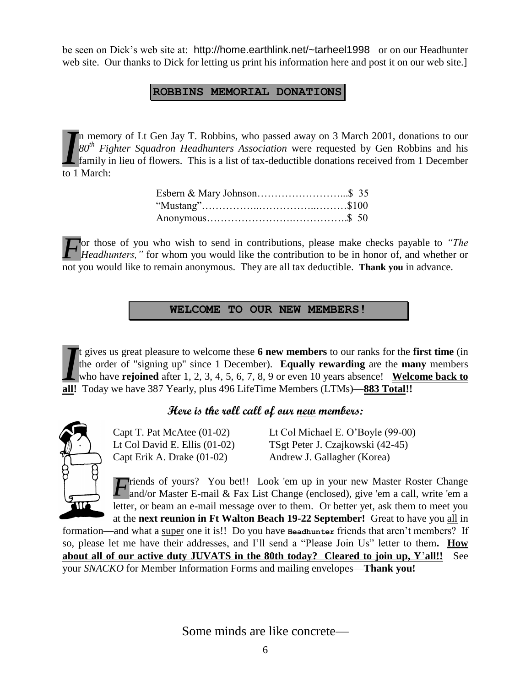be seen on Dick's web site at: http://home.earthlink.net/~tarheel1998 or on our Headhunter web site. Our thanks to Dick for letting us print his information here and post it on our web site.]

#### **ROBBINS MEMORIAL DONATIONS**

n memory of Lt Gen Jay T. Robbins, who passed away on 3 March 2001, donations to our *80th Fighter Squadron Headhunters Association* were requested by Gen Robbins and his family in lieu of flowers. This is a list of tax-deductible donations received from 1 December  $\sum_{f \in \mathcal{F}} \begin{cases} \n n \text{ memo} \\ \n 80^{th} \text{ Fig} \\ \n 5 \text{ family} \\ \n 1 \text{ March:} \n \end{cases}$ 

For those of you who wish to send in contributions, please make checks payable to *"The Headhunters*," for whom you would like the contribution to be in honor of, and whether or *Headhunters,"* for whom you would like the contribution to be in honor of, and whether or not you would like to remain anonymous. They are all tax deductible. **Thank you** in advance.

**WELCOME TO OUR NEW MEMBERS!**

t gives us great pleasure to welcome these **6 new members** to our ranks for the **first time** (in the order of "signing up" since 1 December). **Equally rewarding** are the **many** members who have **rejoined** after 1, 2, 3, 4, 5, 6, 7, 8, 9 or even 10 years absence! **Welcome back to all!** Today we have 387 Yearly, plus 496 LifeTime Members (LTMs)—**883 Total!!** *I*

## **Here is the roll call of our new members:**



Capt Erik A. Drake (01-02) Andrew J. Gallagher (Korea)

Capt T. Pat McAtee (01-02) Lt Col Michael E. O'Boyle (99-00) Lt Col David E. Ellis (01-02) TSgt Peter J. Czajkowski (42-45)

riends of yours? You bet!! Look 'em up in your new Master Roster Change *F* riends of yours? You bet!! Look 'em up in your new Master Roster Change and/or Master E-mail & Fax List Change (enclosed), give 'em a call, write 'em a letter, or beam an e-mail message over to them. Or better yet, ask them to meet you at the **next reunion in Ft Walton Beach 19-22 September!** Great to have you all in

formation—and what a super one it is!! Do you have **Headhunter** friends that aren't members? If so, please let me have their addresses, and I'll send a "Please Join Us" letter to them**. How about all of our active duty JUVATS in the 80th today? Cleared to join up, Y**'**all!!** See your *SNACKO* for Member Information Forms and mailing envelopes—**Thank you!**

Some minds are like concrete—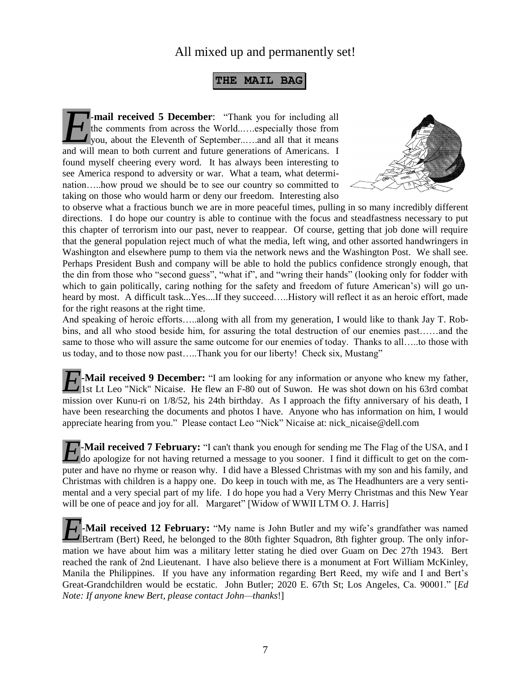## All mixed up and permanently set!

#### **THE MAIL BAG**

**-mail received 5 December**: "Thank you for including all the comments from across the World..….especially those from you, about the Eleventh of September..….and all that it means **And S** December: "Thank you for including all the comments from across the World......especially those from you, about the Eleventh of September......and all that it means and will mean to both current and future generati found myself cheering every word. It has always been interesting to see America respond to adversity or war. What a team, what determination…..how proud we should be to see our country so committed to taking on those who would harm or deny our freedom. Interesting also



to observe what a fractious bunch we are in more peaceful times, pulling in so many incredibly different directions. I do hope our country is able to continue with the focus and steadfastness necessary to put this chapter of terrorism into our past, never to reappear. Of course, getting that job done will require that the general population reject much of what the media, left wing, and other assorted handwringers in Washington and elsewhere pump to them via the network news and the Washington Post. We shall see. Perhaps President Bush and company will be able to hold the publics confidence strongly enough, that the din from those who "second guess", "what if", and "wring their hands" (looking only for fodder with which to gain politically, caring nothing for the safety and freedom of future American's) will go unheard by most. A difficult task...Yes....If they succeed…..History will reflect it as an heroic effort, made for the right reasons at the right time.

And speaking of heroic efforts…..along with all from my generation, I would like to thank Jay T. Robbins, and all who stood beside him, for assuring the total destruction of our enemies past……and the same to those who will assure the same outcome for our enemies of today. Thanks to all…..to those with us today, and to those now past…..Thank you for our liberty! Check six, Mustang"

**-Mail received 9 December:** "I am looking for any information or anyone who knew my father, 1st Lt Leo "Nick" Nicaise. He flew an F-80 out of Suwon. He was shot down on his 63rd combat 1st Lt Leo "Nick" Nicaise. He flew an F-80 out of Suwon. He was shot down on his 63rd combat mission over Kunu-ri on 1/8/52, his 24th birthday. As I approach the fifty anniversary of his death, I have been researching the documents and photos I have. Anyone who has information on him, I would appreciate hearing from you." Please contact Leo "Nick" Nicaise at: nick\_nicaise@dell.com

**-Mail received 7 February:** "I can't thank you enough for sending me The Flag of the USA, and I **h** Mail received 7 February: "I can't thank you enough for sending me The Flag of the USA, and I do apologize for not having returned a message to you sooner. I find it difficult to get on the computer and have no rhyme or reason why. I did have a Blessed Christmas with my son and his family, and Christmas with children is a happy one. Do keep in touch with me, as The Headhunters are a very sentimental and a very special part of my life. I do hope you had a Very Merry Christmas and this New Year will be one of peace and joy for all. Margaret" [Widow of WWII LTM O. J. Harris]

**-Mail received 12 February:** "My name is John Butler and my wife's grandfather was named Bertram (Bert) Reed, he belonged to the 80th fighter Squadron, 8th fighter group. The only information we have about him was a military letter stating he died over Guam on Dec 27th 1943. Bert reached the rank of 2nd Lieutenant. I have also believe there is a monument at Fort William McKinley, Manila the Philippines. If you have any information regarding Bert Reed, my wife and I and Bert's Great-Grandchildren would be ecstatic. John Butler; 2020 E. 67th St; Los Angeles, Ca. 90001." [*Ed Note: If anyone knew Bert, please contact John—thanks*!] *E*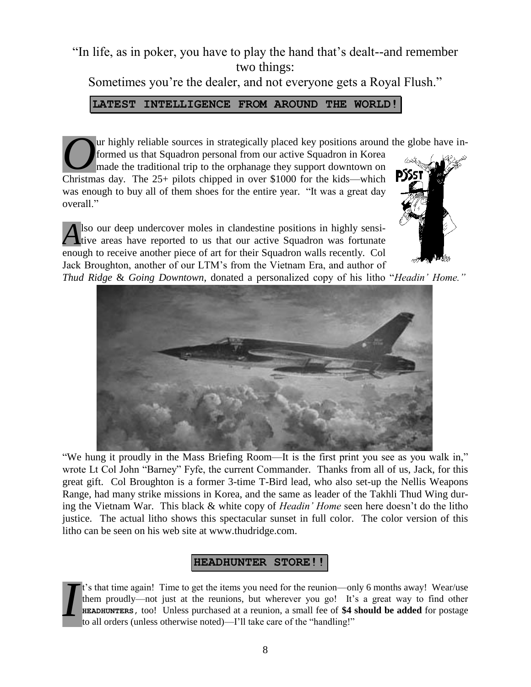# "In life, as in poker, you have to play the hand that's dealt--and remember two things:

Sometimes you're the dealer, and not everyone gets a Royal Flush."

**LATEST INTELLIGENCE FROM AROUND THE WORLD!**

ur highly reliable sources in strategically placed key positions around the globe have informed us that Squadron personal from our active Squadron in Korea made the traditional trip to the orphanage they support downtown on Ur highly reliable sources in strategically placed key positions around formed us that Squadron personal from our active Squadron in Korea made the traditional trip to the orphanage they support downtown on Christmas day. was enough to buy all of them shoes for the entire year. "It was a great day overall."

lso our deep undercover moles in clandestine positions in highly sensi-Also our deep undercover moles in clandestine positions in highly sensitive areas have reported to us that our active Squadron was fortunate enough to receive another piece of art for their Squadron walls recently. Col Jack Broughton, another of our LTM's from the Vietnam Era, and author of



*Thud Ridge* & *Going Downtown*, donated a personalized copy of his litho "*Headin' Home."*



"We hung it proudly in the Mass Briefing Room—It is the first print you see as you walk in," wrote Lt Col John "Barney" Fyfe, the current Commander. Thanks from all of us, Jack, for this great gift. Col Broughton is a former 3-time T-Bird lead, who also set-up the Nellis Weapons Range, had many strike missions in Korea, and the same as leader of the Takhli Thud Wing during the Vietnam War. This black & white copy of *Headin' Home* seen here doesn't do the litho justice. The actual litho shows this spectacular sunset in full color. The color version of this litho can be seen on his web site at www.thudridge.com.

## **HEADHUNTER STORE!!**

t's that time again! Time to get the items you need for the reunion—only 6 months away! Wear/use them proudly—not just at the reunions, but wherever you go! It's a great way to find other **HEADHUNTERS,** too! Unless purchased at a reunion, a small fee of **\$4 should be added** for postage to all orders (unless otherwise noted)—I'll take care of the "handling!" *I*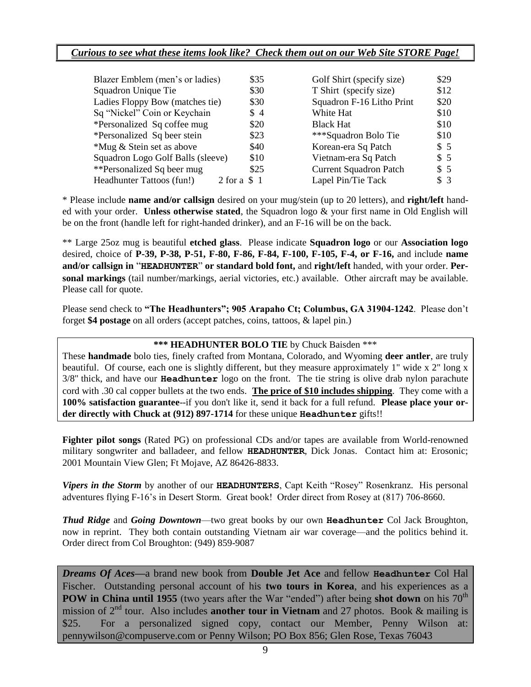#### *Curious to see what these items look like? Check them out on our Web Site STORE Page!*

| Blazer Emblem (men's or ladies)   | \$35             | Golf Shirt (specify size)     | \$29 |
|-----------------------------------|------------------|-------------------------------|------|
| Squadron Unique Tie               | \$30             | T Shirt (specify size)        | \$12 |
| Ladies Floppy Bow (matches tie)   | \$30             | Squadron F-16 Litho Print     | \$20 |
| Sq "Nickel" Coin or Keychain      | \$4              | White Hat                     | \$10 |
| *Personalized Sq coffee mug       | \$20             | <b>Black Hat</b>              | \$10 |
| *Personalized Sq beer stein       | \$23             | ***Squadron Bolo Tie          | \$10 |
| *Mug & Stein set as above         | \$40             | Korean-era Sq Patch           | \$5  |
| Squadron Logo Golf Balls (sleeve) | \$10             | Vietnam-era Sq Patch          | \$5  |
| **Personalized Sq beer mug        | \$25             | <b>Current Squadron Patch</b> | \$5  |
| Headhunter Tattoos (fun!)         | $2$ for a $\$$ 1 | Lapel Pin/Tie Tack            | \$3  |

\* Please include **name and/or callsign** desired on your mug/stein (up to 20 letters), and **right/left** handed with your order. **Unless otherwise stated**, the Squadron logo & your first name in Old English will be on the front (handle left for right-handed drinker), and an F-16 will be on the back.

\*\* Large 25oz mug is beautiful **etched glass**. Please indicate **Squadron logo** or our **Association logo** desired, choice of **P-39, P-38, P-51, F-80, F-86, F-84, F-100, F-105, F-4, or F-16,** and include **name and/or callsign in** "**HEADHUNTER**" **or standard bold font,** and **right/left** handed, with your order. **Personal markings** (tail number/markings, aerial victories, etc.) available. Other aircraft may be available. Please call for quote.

Please send check to **"The Headhunters"; 905 Arapaho Ct; Columbus, GA 31904-1242**. Please don't forget **\$4 postage** on all orders (accept patches, coins, tattoos, & lapel pin.)

#### **\*\*\* HEADHUNTER BOLO TIE** by Chuck Baisden \*\*\*

These **handmade** bolo ties, finely crafted from Montana, Colorado, and Wyoming **deer antler**, are truly beautiful. Of course, each one is slightly different, but they measure approximately 1" wide x 2" long x 3/8" thick, and have our **Headhunter** logo on the front. The tie string is olive drab nylon parachute cord with .30 cal copper bullets at the two ends. **The price of \$10 includes shipping**. They come with a **100% satisfaction guarantee**--if you don't like it, send it back for a full refund. **Please place your order directly with Chuck at (912) 897-1714** for these unique **Headhunter** gifts!!

**Fighter pilot songs** (Rated PG) on professional CDs and/or tapes are available from World-renowned military songwriter and balladeer, and fellow **HEADHUNTER**, Dick Jonas. Contact him at: Erosonic; 2001 Mountain View Glen; Ft Mojave, AZ 86426-8833.

*Vipers in the Storm* by another of our **HEADHUNTERS**, Capt Keith "Rosey" Rosenkranz. His personal adventures flying F-16's in Desert Storm. Great book! Order direct from Rosey at (817) 706-8660.

*Thud Ridge* and *Going Downtown*—two great books by our own **Headhunter** Col Jack Broughton, now in reprint. They both contain outstanding Vietnam air war coverage—and the politics behind it. Order direct from Col Broughton: (949) 859-9087

*Dreams Of Aces—*a brand new book from **Double Jet Ace** and fellow **Headhunter** Col Hal Fischer. Outstanding personal account of his **two tours in Korea**, and his experiences as a **POW in China until 1955** (two years after the War "ended") after being **shot down** on his 70<sup>th</sup> mission of 2<sup>nd</sup> tour. Also includes **another tour in Vietnam** and 27 photos. Book & mailing is \$25. For a personalized signed copy, contact our Member, Penny Wilson at: pennywilson@compuserve.com or Penny Wilson; PO Box 856; Glen Rose, Texas 76043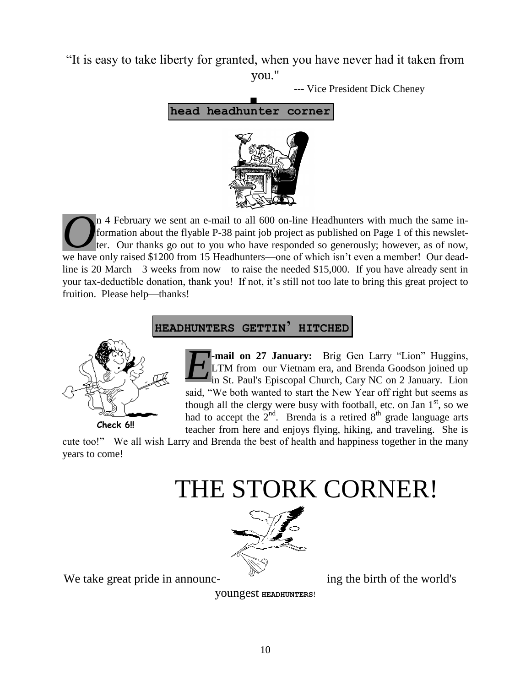"It is easy to take liberty for granted, when you have never had it taken from you."

--- Vice President Dick Cheney



n 4 February we sent an e-mail to all 600 on-line Headhunters with much the same information about the flyable P-38 paint job project as published on Page 1 of this newsletter. Our thanks go out to you who have responded so generously; however, as of now, If the same in-<br> **O**<sup>n</sup> 4 February we sent an e-mail to all 600 on-line Headhunters with much the same in-<br>
formation about the flyable P-38 paint job project as published on Page 1 of this newslet-<br>
ter. Our thanks go out line is 20 March—3 weeks from now—to raise the needed \$15,000. If you have already sent in your tax-deductible donation, thank you! If not, it's still not too late to bring this great project to fruition. Please help—thanks!



**HEADHUNTERS GETTIN' HITCHED**

**-mail on 27 January:** Brig Gen Larry "Lion" Huggins, LTM from our Vietnam era, and Brenda Goodson joined up in St. Paul's Episcopal Church, Cary NC on 2 January. Lion said, "We both wanted to start the New Year off right but seems as though all the clergy were busy with football, etc. on Jan  $1<sup>st</sup>$ , so we had to accept the  $2<sup>nd</sup>$ . Brenda is a retired  $8<sup>th</sup>$  grade language arts teacher from here and enjoys flying, hiking, and traveling. She is *E*

cute too!" We all wish Larry and Brenda the best of health and happiness together in the many years to come!





We take great pride in announc-<br>ing the birth of the world's

youngest **HEADHUNTERS**!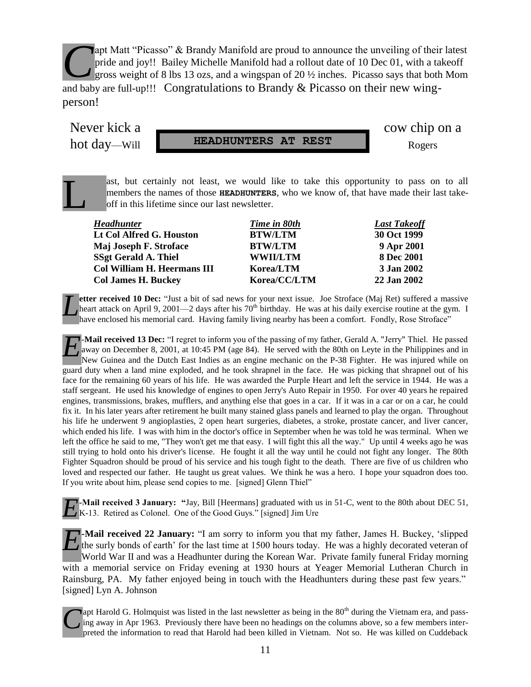apt Matt "Picasso" & Brandy Manifold are proud to announce the unveiling of their latest pride and joy!! Bailey Michelle Manifold had a rollout date of 10 Dec 01, with a takeoff gross weight of 8 lbs 13 ozs, and a wingspan of 20 ½ inches. Picasso says that both Mom and baby are full-up!!! Congratulations to Brandy & Picasso on their new wingperson! *C*

L

hot day—Will **HEADHUNTERS AT REST** Rogers

Never kick a cow chip on a

ast, but certainly not least, we would like to take this opportunity to pass on to all members the names of those **HEADHUNTERS**, who we know of, that have made their last takeoff in this lifetime since our last newsletter.

| <b>Headhunter</b>                  | Time in 80th    | <b>Last Takeoff</b> |
|------------------------------------|-----------------|---------------------|
| Lt Col Alfred G. Houston           | <b>BTW/LTM</b>  | 30 Oct 1999         |
| Maj Joseph F. Stroface             | <b>BTW/LTM</b>  | 9 Apr 2001          |
| <b>SSgt Gerald A. Thiel</b>        | <b>WWII/LTM</b> | <b>8 Dec 2001</b>   |
| <b>Col William H. Heermans III</b> | Korea/LTM       | 3 Jan 2002          |
| <b>Col James H. Buckey</b>         | Korea/CC/LTM    | 22 Jan 2002         |

**etter received 10 Dec:** "Just a bit of sad news for your next issue. Joe Stroface (Maj Ret) suffered a massive heart attack on April 9, 2001—2 days after his  $70<sup>th</sup>$  birthday. He was at his daily exercise routine at the gym. I have enclosed his memorial card. Having family living nearby has been a comfort. Fondly, Rose Stroface" *L*

-**Mail received 13 Dec:** "I regret to inform you of the passing of my father, Gerald A. "Jerry" Thiel. He passed away on December 8, 2001, at 10:45 PM (age 84). He served with the 80th on Leyte in the Philippines and in New Guinea and the Dutch East Indies as an engine mechanic on the P-38 Fighter. He was injured while on guard duty when a land mine exploded, and he took shrapnel in the face. He was picking that shrapnel out of his face for the remaining 60 years of his life. He was awarded the Purple Heart and left the service in 1944. He was a staff sergeant. He used his knowledge of engines to open Jerry's Auto Repair in 1950. For over 40 years he repaired engines, transmissions, brakes, mufflers, and anything else that goes in a car. If it was in a car or on a car, he could fix it. In his later years after retirement he built many stained glass panels and learned to play the organ. Throughout his life he underwent 9 angioplasties, 2 open heart surgeries, diabetes, a stroke, prostate cancer, and liver cancer, which ended his life. I was with him in the doctor's office in September when he was told he was terminal. When we left the office he said to me, "They won't get me that easy. I will fight this all the way." Up until 4 weeks ago he was still trying to hold onto his driver's license. He fought it all the way until he could not fight any longer. The 80th Fighter Squadron should be proud of his service and his tough fight to the death. There are five of us children who loved and respected our father. He taught us great values. We think he was a hero. I hope your squadron does too. If you write about him, please send copies to me. [signed] Glenn Thiel" *E*

**-Mail received 3 January: "**Jay, Bill [Heermans] graduated with us in 51-C, went to the 80th about DEC 51, *E*<sup>-</sup>Mail received 3 January: "Jay, Bill [Heermans] graduated with u<br>K-13. Retired as Colonel. One of the Good Guys." [signed] Jim Ure

**-Mail received 22 January:** "I am sorry to inform you that my father, James H. Buckey, 'slipped the surly bonds of earth' for the last time at 1500 hours today. He was a highly decorated veteran of World War II and was a Headhunter during the Korean War. Private family funeral Friday morning with a memorial service on Friday evening at 1930 hours at Yeager Memorial Lutheran Church in Rainsburg, PA. My father enjoyed being in touch with the Headhunters during these past few years." [signed] Lyn A. Johnson *E*

**Vapt Harold G. Holmquist was listed in the last newsletter as being in the 80<sup>th</sup> during the Vietnam era, and pass**ing away in Apr 1963. Previously there have been no headings on the columns above, so a few members interpreted the information to read that Harold had been killed in Vietnam. Not so. He was killed on Cuddeback *C*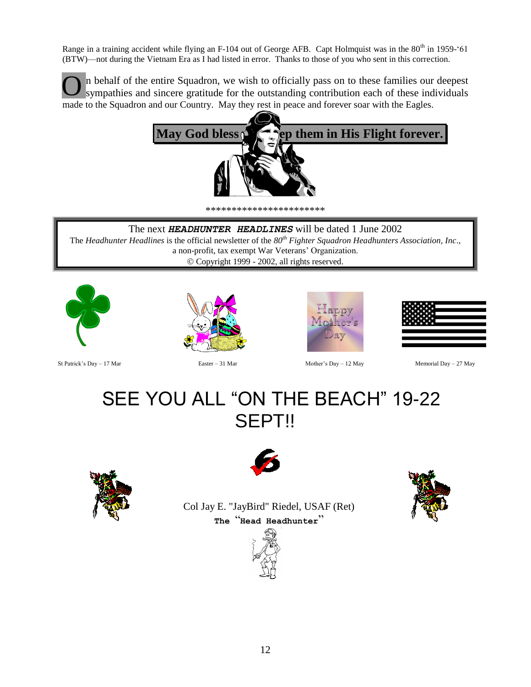Range in a training accident while flying an F-104 out of George AFB. Capt Holmquist was in the 80<sup>th</sup> in 1959-'61 (BTW)—not during the Vietnam Era as I had listed in error. Thanks to those of you who sent in this correction.

n behalf of the entire Squadron, we wish to officially pass on to these families our deepest sympathies and sincere gratitude for the outstanding contribution each of these individuals made to the Squadron and our Country. May they rest in peace and forever soar with the Eagles. O



\*\*\*\*\*\*\*\*\*\*\*\*\*\*\*\*\*\*\*\*\*\*\*

The next *HEADHUNTER HEADLINES* will be dated 1 June 2002

The *Headhunter Headlines* is the official newsletter of the *80th Fighter Squadron Headhunters Association, Inc*., a non-profit, tax exempt War Veterans' Organization. Copyright 1999 - 2002, all rights reserved.



St Patrick's Day – 17 Mar Easter – 31 Mar Mother's Day – 12 May Memorial Day – 27 May









# SEE YOU ALL "ON THE BEACH" 19-22 SEPT!!





Col Jay E. "JayBird" Riedel, USAF (Ret) **The** "**Head Headhunter**"